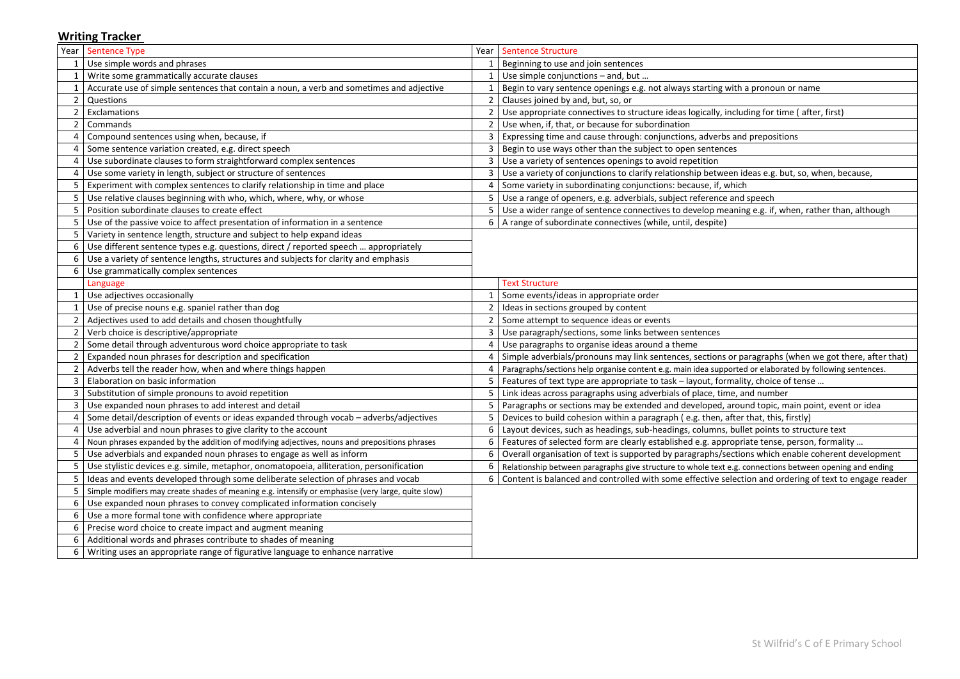## **Writing Tracker**

| Year | Sentence Type                                                                                      |                | Year   Sentence Structure                                                                                |
|------|----------------------------------------------------------------------------------------------------|----------------|----------------------------------------------------------------------------------------------------------|
|      | Use simple words and phrases                                                                       |                | Beginning to use and join sentences                                                                      |
|      | Write some grammatically accurate clauses                                                          |                | Use simple conjunctions - and, but                                                                       |
|      | Accurate use of simple sentences that contain a noun, a verb and sometimes and adjective           |                | Begin to vary sentence openings e.g. not always starting with a pronoun or name                          |
|      | Questions                                                                                          |                | Clauses joined by and, but, so, or                                                                       |
|      | Exclamations                                                                                       |                | Use appropriate connectives to structure ideas logically, including for time (after, first)              |
|      | Commands                                                                                           |                | Use when, if, that, or because for subordination                                                         |
|      | Compound sentences using when, because, if                                                         |                | Expressing time and cause through: conjunctions, adverbs and prepositions                                |
|      | Some sentence variation created, e.g. direct speech                                                |                | Begin to use ways other than the subject to open sentences                                               |
|      | Use subordinate clauses to form straightforward complex sentences                                  |                | Use a variety of sentences openings to avoid repetition                                                  |
|      | Use some variety in length, subject or structure of sentences                                      |                | Use a variety of conjunctions to clarify relationship between ideas e.g. but, so, when, because,         |
|      | Experiment with complex sentences to clarify relationship in time and place                        |                | Some variety in subordinating conjunctions: because, if, which                                           |
|      | Use relative clauses beginning with who, which, where, why, or whose                               |                | 5   Use a range of openers, e.g. adverbials, subject reference and speech                                |
|      | Position subordinate clauses to create effect                                                      |                | Use a wider range of sentence connectives to develop meaning e.g. if, when, rather than, although        |
|      | Use of the passive voice to affect presentation of information in a sentence                       |                | $6$   A range of subordinate connectives (while, until, despite)                                         |
|      | Variety in sentence length, structure and subject to help expand ideas                             |                |                                                                                                          |
|      | Use different sentence types e.g. questions, direct / reported speech  appropriately               |                |                                                                                                          |
|      | Use a variety of sentence lengths, structures and subjects for clarity and emphasis                |                |                                                                                                          |
| 6    | Use grammatically complex sentences                                                                |                |                                                                                                          |
|      | Language                                                                                           |                | <b>Text Structure</b>                                                                                    |
|      | Use adjectives occasionally                                                                        |                | Some events/ideas in appropriate order                                                                   |
|      | Use of precise nouns e.g. spaniel rather than dog                                                  |                | Ideas in sections grouped by content                                                                     |
|      | Adjectives used to add details and chosen thoughtfully                                             |                | Some attempt to sequence ideas or events                                                                 |
|      | Verb choice is descriptive/appropriate                                                             |                | Use paragraph/sections, some links between sentences                                                     |
|      | Some detail through adventurous word choice appropriate to task                                    | 4              | Use paragraphs to organise ideas around a theme                                                          |
|      | Expanded noun phrases for description and specification                                            |                | Simple adverbials/pronouns may link sentences, sections or paragraphs (when we got there, after that)    |
|      | Adverbs tell the reader how, when and where things happen                                          |                | Paragraphs/sections help organise content e.g. main idea supported or elaborated by following sentences. |
|      | Elaboration on basic information                                                                   | 5 <sub>1</sub> | Features of text type are appropriate to task – layout, formality, choice of tense                       |
|      | Substitution of simple pronouns to avoid repetition                                                |                | 5   Link ideas across paragraphs using adverbials of place, time, and number                             |
|      | Use expanded noun phrases to add interest and detail                                               |                | Paragraphs or sections may be extended and developed, around topic, main point, event or idea            |
|      | Some detail/description of events or ideas expanded through vocab - adverbs/adjectives             |                | 5   Devices to build cohesion within a paragraph (e.g. then, after that, this, firstly)                  |
|      | Use adverbial and noun phrases to give clarity to the account                                      | 6 <sup>1</sup> | Layout devices, such as headings, sub-headings, columns, bullet points to structure text                 |
|      | Noun phrases expanded by the addition of modifying adjectives, nouns and prepositions phrases      | 6              | Features of selected form are clearly established e.g. appropriate tense, person, formality              |
|      | Use adverbials and expanded noun phrases to engage as well as inform                               | 6              | Overall organisation of text is supported by paragraphs/sections which enable coherent development       |
|      | Use stylistic devices e.g. simile, metaphor, onomatopoeia, alliteration, personification           | 6              | Relationship between paragraphs give structure to whole text e.g. connections between opening and ending |
|      | Ideas and events developed through some deliberate selection of phrases and vocab                  | 6              | Content is balanced and controlled with some effective selection and ordering of text to engage reader   |
|      | Simple modifiers may create shades of meaning e.g. intensify or emphasise (very large, quite slow) |                |                                                                                                          |
|      | Use expanded noun phrases to convey complicated information concisely                              |                |                                                                                                          |
|      | Use a more formal tone with confidence where appropriate                                           |                |                                                                                                          |
|      | Precise word choice to create impact and augment meaning                                           |                |                                                                                                          |
|      | Additional words and phrases contribute to shades of meaning                                       |                |                                                                                                          |
|      | Writing uses an appropriate range of figurative language to enhance narrative                      |                |                                                                                                          |

| with a pronoun or name                         |
|------------------------------------------------|
|                                                |
| including for time (after, first)              |
|                                                |
| s and prepositions                             |
| es                                             |
|                                                |
| een ideas e.g. but, so, when, because,         |
| $w$ hich                                       |
| and speech                                     |
| eaning e.g. if, when, rather than, although    |
|                                                |
|                                                |
|                                                |
|                                                |
|                                                |
|                                                |
|                                                |
|                                                |
|                                                |
|                                                |
|                                                |
| or paragraphs (when we got there, after that)  |
| ported or elaborated by following sentences.   |
| mality, choice of tense                        |
| ne, and number                                 |
| around topic, main point, event or idea        |
| after that, this, firstly)                     |
| , bullet points to structure text              |
| ropriate tense, person, formality              |
| ections which enable coherent development      |
| e.g. connections between opening and ending    |
| election and ordering of text to engage reader |
|                                                |
|                                                |
|                                                |
|                                                |